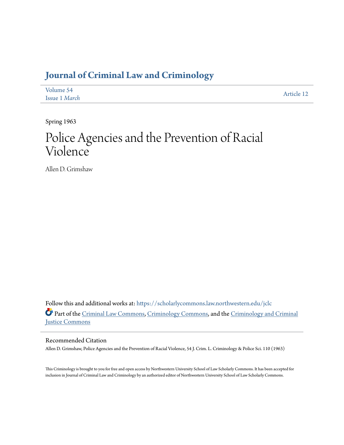# **[Journal of Criminal Law and Criminology](https://scholarlycommons.law.northwestern.edu/jclc?utm_source=scholarlycommons.law.northwestern.edu%2Fjclc%2Fvol54%2Fiss1%2F12&utm_medium=PDF&utm_campaign=PDFCoverPages)**

| Volume 54     | Article 12 |
|---------------|------------|
| Issue 1 March |            |

Spring 1963

# Police Agencies and the Prevention of Racial Violence

Allen D. Grimshaw

Follow this and additional works at: [https://scholarlycommons.law.northwestern.edu/jclc](https://scholarlycommons.law.northwestern.edu/jclc?utm_source=scholarlycommons.law.northwestern.edu%2Fjclc%2Fvol54%2Fiss1%2F12&utm_medium=PDF&utm_campaign=PDFCoverPages) Part of the [Criminal Law Commons](http://network.bepress.com/hgg/discipline/912?utm_source=scholarlycommons.law.northwestern.edu%2Fjclc%2Fvol54%2Fiss1%2F12&utm_medium=PDF&utm_campaign=PDFCoverPages), [Criminology Commons](http://network.bepress.com/hgg/discipline/417?utm_source=scholarlycommons.law.northwestern.edu%2Fjclc%2Fvol54%2Fiss1%2F12&utm_medium=PDF&utm_campaign=PDFCoverPages), and the [Criminology and Criminal](http://network.bepress.com/hgg/discipline/367?utm_source=scholarlycommons.law.northwestern.edu%2Fjclc%2Fvol54%2Fiss1%2F12&utm_medium=PDF&utm_campaign=PDFCoverPages) [Justice Commons](http://network.bepress.com/hgg/discipline/367?utm_source=scholarlycommons.law.northwestern.edu%2Fjclc%2Fvol54%2Fiss1%2F12&utm_medium=PDF&utm_campaign=PDFCoverPages)

## Recommended Citation

Allen D. Grimshaw, Police Agencies and the Prevention of Racial Violence, 54 J. Crim. L. Criminology & Police Sci. 110 (1963)

This Criminology is brought to you for free and open access by Northwestern University School of Law Scholarly Commons. It has been accepted for inclusion in Journal of Criminal Law and Criminology by an authorized editor of Northwestern University School of Law Scholarly Commons.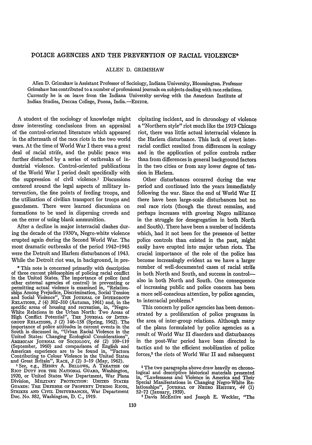### POLICE **AGENCIES AND** THE PREVENTION OF RACIAL VIOLENCE\*

#### ALLEN D. GRIMSHAW

Allen D. Grimshaw is Assistant Professor of Sociology, Indiana University, Bloomington. Professor Grimshaw has contributed to a number of professional journals on subjects dealing with race relations. Currently he is on leave from the Indiana University serving with the American Institute of Indian Studies, Deccan College, Poona, India.-EDiToR.

A student of the sociology of knowledge might draw interesting conclusions from an appraisal of the control-oriented literature which appeared in the aftermath of the race riots in the two world wars. At the time of World War I there was a great deal of racial strife, and the public peace was further disturbed by a series of outbreaks of industrial violence. Control-oriented publications of the World War I period dealt specifically with the suppression of civil violence.' Discussions centered around the legal aspects of military intervention, the fine points of feeding troops, and the utilization of civilian transport for troops and guardsmen. There were learned discussions on formations to be used in dispersing crowds and on the error of using blank ammunition.

After a decline in major interracial clashes during the decade of the 1930's, Negro-white violence erupted again during the Second World War. The most dramatic outbreaks of the period 1942-1945 were the Detroit and Harlem disturbances of 1943. While the Detroit riot was, in background, in pre-

\* This note is concerned primarily with description of three current philosophies of policing racial conflict in the United States. The importance of police (and other external agencies of control) in preventing or permitting actual violence is examined in, "Relationships Among Prejudice, Discrimination, Social Tension and Social Violence", **THE JoURNAL OF INTERGROUP RELATIONS,** 2 (4) 302-310 (Autumn, 1961) and, in the specific areas of housing and recreation, in, "Negro- White Relations in the Urban North: Two Areas of High Conflict Potential", THE **JOURNAL OF INTER-GROUP RELATIONS,** 3 (2) 146-158 (Spring, 1962). The importance of police attitudes in current events in the South is discussed in, "Urban Racial Violence in the United States: Changing Ecological Considerations", AmERIcAN **JOURNAL OF** SOcIOLOGY, *66* (2) 109-119 (September, 1960) and comparisons of English and American experience are to be found in, "Factors Contributing to Colour Violence in the United States and Great Britain", **RACE,** 3 (2) 3-19 (May, 1962). 'See, e.g., **HENRY** A. BELLOwS, A TREATISE **ON**

RIOT **DUTY FOR TnE** NATIONAL GUARD, Washington, 1920, or United States War Department, War Plans Division, **MILITARY** PROTECTION: **UanITE STATES** GUARDS: **THE DEFENSE OF** PROPERTY DURING RIOTS, STRIKES **AND** CIvIL **DISTURBANCES,** War Department Doc. No. 882, Washington, D. C., 1919.

cipitating incident, and in chronology of violence a "Northern style" riot much like the 1919 Chicago riot, there was little actual interracial violence in the Harlem disturbance. This lack of overt interracial conflict resulted from differences in ecology and in the application of police controls rather than from differences in general background factors in the two cities or from any lower degree of tension in Harlem.

Other disturbances occurred during the war period and continued into the years immediately following the war. Since the end of World War II there have been large-scale disturbances but no real race riots (though the threat remains, and perhaps increases with growing Negro militance in the struggle for desegregation in both North and South). There have been a number of incidents which, had it not been for the presence of better police controls than existed in the past, might easily have erupted into major urban riots. The crucial importance of the role of the police has become increasingly evident as we have a larger number of well-documented cases of racial strife in both North and South, and success in controlalso in both North and South. One consequence of increasing public and police concern has been a more self-conscious attention, by police agencies, to interracial problems.<sup>2</sup>

This concern by police agencies has been demonstrated by a proliferation of police programs in the area of inter-group relations. Although many of the plans formulated by police agencies as a result of World War II disorders and disturbances in the post-War period have been directed to tactics and to the efficient mobilization of police forces,<sup>3</sup> the riots of World War II and subsequent

<sup>2</sup> The two paragraphs above draw heavily on chronological and descriptive historical materials presented in, "Lawlessness and Violence in America and Their Special Manifestations in Changing Negro-White Re-lationships", **JOURNAL OF** NEGRO **HISToRY,** 44 (1) 52-72 (January, 1959). **3** Davis McEntire and Joseph E. Weckler, "The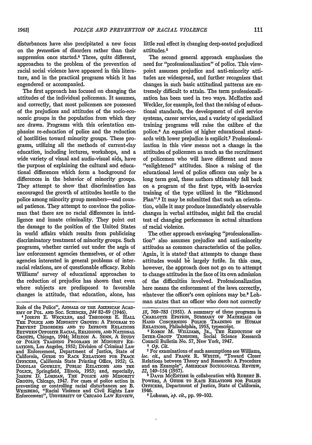disturbances have also precipitated a new focus on the *prevention* of disorders rather than their suppression once started.<sup>4</sup> Three, quite different, approaches to the problem of the prevention of racial social violence have appeared in this literature, and in the practical programs which it has engendered or accompanied.

The first approach has focused on changing the attitudes of the individual policeman. It assumes, and correctly, that most policemen are possessed of the prejudices and attitudes of the socio-economic groups in the population from which they are drawn. Programs with this orientation emphasize re-education of police and the reduction of hostilities toward-minority groups. These programs, utilizing all the methods of current-day education, including lectures, workshops, and a wide variety of visual and audio-visual aids, have the purpose of explaining the cultural and educational differences which form a background for differences in the behavior of minority groups. They attempt to show that discrimination has encouraged the growth of attitudes hostile to the police among minority group members-and counsel patience. They attempt to convince the policeman that there are no racial differences in intelligence and innate criminality. They point out the damage to the position of the United States in world affairs which results from publicizing discriminatory treatment of minority groups. Such programs, whether carried out under the aegis of law enforcement agencies themselves, or of other agencies interested in general problems of interracial relations, are of questionable efficacy. Robin Williams' survey of educational approaches to the reduction of prejudice has shown that even where subjects are predisposed to favorable changes in attitude, that education, alone, has

THE POLICE **AND** MINORITY GRoups: **A** PROGRAM TO PREVENT DISORDERS AND TO IMPROVE RELATIONS BETWEEN OPPoSITE RACIAL, RELIGIOUS, **AND** NATIONAL Groups, Chicago, 1944; Milton A. Senn, A Study<br>of Police Training Programs in Minority Re-<br>Lations, Los Angeles, 1952; Division of Criminal Law and Enforcement, Department of Justice, State of<br>California, GuiDe to Race Relations for Peace<br>Officers, California State Printing Office, 1952; G. DOUGLAS GOURLEY, PUBLIC RELATIONS AND THE<br>POLICE, Springfield, Illinois, 1953; and, especially,<br>JOSEPH D. LOHMAN, THE POLICE AND MINORITY GRoups, Chicago, 1947. For cases of police action in preventing or controlling racial disturbances see B. WEISBERG, "Racial Violence and Civil Rights Law Enforcement", UNIVERSITY OF CHICAGO LAW REVIEW,

little real effect in changing deep-seated prejudiced attitudes.'

The second general approach emphasizes the need for "professionalization" of police. This viewpoint assumes prejudice and anti-minority attitudes are widespread, and further recognizes that changes in such basic attitudinal patterns are extremely difficult to attain. The term professionalization has been used in two ways. McEntire and Weckler, for example, feel that the raising of educational standards, the development of civil service systems, career service, and a variety of specialized training programs will raise the calibre of the police. 6 An equation of higher educational standards with lower prejudice is explicit.7 Professionalization in this view means not a change in the attitudes of policemen as much as the recruitment of policemen who will have different and more "enlightened" attitudes. Since a raising of the educational level of police officers can only be a long term goal, these authors ultimately fall back on a program of the first type, with in-service training of the type utilized in the "Richmond Plan".8 It may be submitted that such an orientation, while it may produce immediately observable changes in verbal attitudes, might fail the crucial test of changing performance in actual situations of racial violenice.

The other approach envisaging "professionalization" also assumes prejudice and anti-minority attitudes as common characteristics of the police. 'Again, it is stated' that attempts to change these attitudes would be largely futile. In this case, however, the approach does not go on to attempt to change attitudes in the face of its own admission of the difficulties involved. Professionalization here means the enforcement of the laws correctly, whatever the officer's own opinions may be.9 Lohman states that an officer who does not correctly

RELATIONS, Philadelphia, 1955, typescript.<br><sup>5</sup>ROBIN M. WILLIAMS, JR., THE REDUCTION OF INTER-GRouP TENSIONS, Social Science Research Council Bulletin No. **57,** New York, 1947.

 $\overline{^6}$  *Op. Cit.*  $\overline{^7}$  For examinations of such assumptions see Williams, loc. cit., and FRANK R. WESTIE, "Toward Closer Relations between Theory and Research: A Procedure<br>
and an Example", AMERICAN SOCIOLOGICAL REVIEW,<br>
22, 149-154 (1957).<br>
<sup>8</sup> DAVIS MCENTIRE in collaboration with ROBERT B.

POwERS, **A** GUIDE TO RACE RELATIONS FOR POLICE OFFICERS, Department of justice, State of California, 1946.

**9** Lohman, *op. cit.,* pp. 99-102.

Role of the Police", ANNALS OF THE AMERICAN ACAD-EUY OF POL. AND SOC. SCIENCES, 244 82-89 (1946).<br>4 JOSEPH E. WECKLER, and THEODORE E. HALL

*<sup>18,</sup>* 769-783 **(1951).** A summary of these programs is CHARLoTTE EPSTEIN, SummARY **Or MATERIALS ON** HAND CONCERNING POLICE TRAINING IN **HuAN**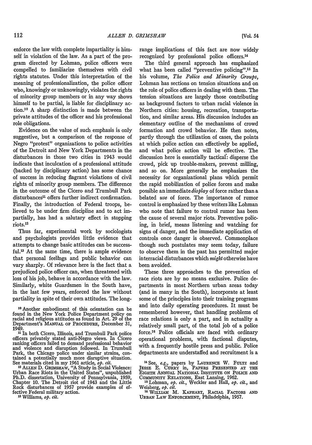enforce the law with complete impartiality is himself in violation of the law. As a'part of the program directed by Lohman, police officers were compelled to familiarize themselves with civil rights statutes. Under this interpretation of the meaning of professionalization, the police officer who, knowingly or unknowingly, violates the rights of minority group members or in any way shows himself to be partial, is liable for disciplinary action.10 A sharp distinction is made between the private attitudes of the officer and his professional role obligations.

Evidence on the value of such emphasis is only suggestive, but a comparison of the response of Negro "protest" organizations to police activities of the Detroit and New York Departments in the disturbances in those two cities in 1943 would indicate that inculcation of a professional attitude (backed by disciplinary action) has some chance of success in reducing flagrant violations of civil rights of minority group members. The difference in the outcome of the Cicero and Trumbull Park disturbances<sup>11</sup> offers further indirect confirmation. Finally, the introduction of Federal troops, believed to be under firm discipline and to act impartially, has had a salutary effect in stopping riots.<sup>12</sup>

Thus far, experimental work by sociologists and psychologists provides little evidence that attempts to change basic attitudes can be successful.<sup>13</sup> At the same time, there is ample evidence that personal feelings and public behavior can vary sharply. Of relevance here is the fact that a prejudiced police officer can, when threatened with loss of his job, behave in accordance with the law. Similarly, white Guardsmen in the South have, in the last few years, enforced the law without partiality in spite of their own attitudes. The long-

<sup>11</sup> In both Cicero, Illinois, and Trumbull Park police officers privately stated anti-Negro views. In Cicero ranking officers failed to demand professional behavior and violence and disruption followed. In Trumbull Park, the Chicago police under similar strains, con- tained a potentially much more disruptive situation.

See materials cited in my 1961 article,  $\dot{o}p$ . cit.<br><sup>12</sup> ALLEN D. GRIMSHAW, "A Study in Social Violence:<br>Urban Race Riots in the United States", unpublished<br>Ph.D. dissertation, University of Pennsylvania, 1959, Ph.D. dissertation, University of Pennsylvania, 1959, Chapter 10. The Detroit riot of 1943 and the Little Rock disturbances of 1957 provide examples of effective Federal military action. **13** Williams, *op. cit.*

range implications of this fact are now widely recognized by professional police officers.<sup>14</sup>

The third general approach has emphasized what has been called "preventive policing".<sup>15</sup> In his volume, *The Police and Minority Groups,* Lohman has sections on tension situations and on the role of police officers in dealing with them. The tension situations are largely those contributing as background factors to urban racial violence in Northern cities: housing, recreation, transportation, and similar areas. His discussion includes an elementary outline of the mechanisms of crowd formation and crowd behavior. He then notes, partly through the utilization of cases, the points at which police action can effectively be applied, and what police action will be effective. The discussion here is essentially tacticaf: disperse the crowd, pick up trouble-makers, prevent milling, and so on. More generally he emphasizes the necessity for organizational plans which permit the rapid mobilization of police forces and make possible an immediate *display* of force rather than a belated *use* of force. The importance of rumor control is emphasized by these writers like Lohman who note that failure to control rumor has been the cause of several major riots. Preventive policing, in brief, means listening and watching for signs of danger, and the immediate application of controls once danger is observed. Commonplace though such postulates may seem today, failure to observe them in the past has permitted major interracial disturbances which *might* otherwise have been avoided.

These three approaches to the prevention of race riots are by no means exclusive. Police departments in most Northern urban areas today (and in many in the South), incorporate at least some of the principles into their training programs and into daily operating procedures. It must be remembered however, that handling problems of race relations is only a part, and in actuality a relatively small part, of the total job of a police force.<sup>16</sup> Police officials are faced with ordinary operational problems, with factional disputes, with a frequently hostile press and public. Police departments are understaffed and recruitment is a

<sup>14</sup> See, *e.g.*, papers by LAURENCE W. FULTZ and JESSE E. CURRY in, PAPERS PRESENTED AT THE EIGHTH ANNUAL NATIONAL INSTITUTE ON POLICE AND COmmNTY RELATIONS, East Lansing, 1962. **15** Lohman, *op. cit.,* Weckler and Hall, *op. cit.,* and

Weisberg, *op. cit.*

<sup>16</sup> WILLIAM M. KAPHART, RACIAL FACTORS AND URBAN LAW ENFORCEMENT, Philadelphia, 1957.

<sup>10</sup> Another embodiment of this orientation can be found in the New York Police Department policy on racial and religious attitudes as found in Art. 29 of the Department's MANUAL OF PROCEDURE, December 31, 1949.